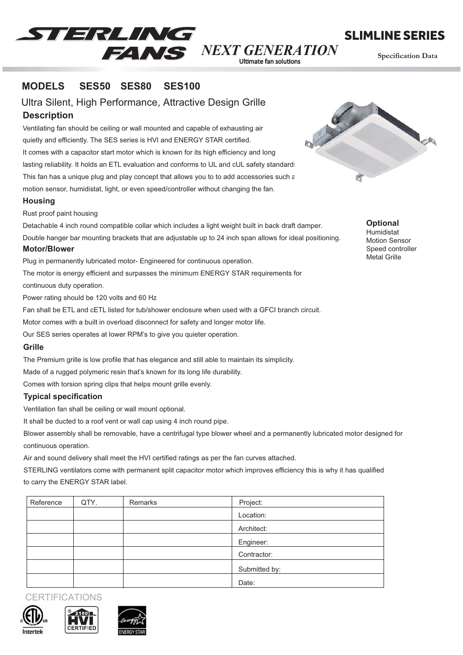

SLIMLINE SERIES

**Specification Data**<br>Ultimate fan solutions

#### **MODELS SES50 SES80 SES100**

**Description** Ultra Silent, High Performance, Attractive Design Grille

Ventilating fan should be ceiling or wall mounted and capable of exhausting air quietly and efficiently. The SES series is HVI and ENERGY STAR certified. It comes with a capacitor start motor which is known for its high efficiency and long lasting reliability. It holds an ETL evaluation and conforms to UL and cUL safety standard: This fan has a unique plug and play concept that allows you to to add accessories such  $\varepsilon$ motion sensor, humidistat, light, or even speed/controller without changing the fan.

### **Housing**

Rust proof paint housing

Detachable 4 inch round compatible collar which includes a light weight built in back draft damper. Double hanger bar mounting brackets that are adjustable up to 24 inch span allows for ideal positioning.

#### **Motor/Blower**

Plug in permanently lubricated motor- Engineered for continuous operation.

The motor is energy efficient and surpasses the minimum ENERGY STAR requirements for

continuous duty operation.

Power rating should be 120 volts and 60 Hz

Fan shall be ETL and cETL listed for tub/shower enclosure when used with a GFCI branch circuit.

Motor comes with a built in overload disconnect for safety and longer motor life.

Our SES series operates at lower RPM's to give you quieter operation.

#### **Grille**

The Premium grille is low profile that has elegance and still able to maintain its simplicity.

Made of a rugged polymeric resin that's known for its long life durability.

Comes with torsion spring clips that helps mount grille evenly.

## **Typical specification**

Ventilation fan shall be ceiling or wall mount optional.

It shall be ducted to a roof vent or wall cap using 4 inch round pipe.

Blower assembly shall be removable, have a centrifugal type blower wheel and a permanently lubricated motor designed for continuous operation.

Air and sound delivery shall meet the HVI certified ratings as per the fan curves attached.

STERLING ventilators come with permanent split capacitor motor which improves efficiency this is why it has qualified to carry the ENERGY STAR label.

| Reference | QTY. | Remarks | Project:      |  |
|-----------|------|---------|---------------|--|
|           |      |         | Location:     |  |
|           |      |         | Architect:    |  |
|           |      |         | Engineer:     |  |
|           |      |         | Contractor:   |  |
|           |      |         | Submitted by: |  |
|           |      |         | Date:         |  |









**Optional** Humidistat Motion Sensor Speed controller Metal Grille